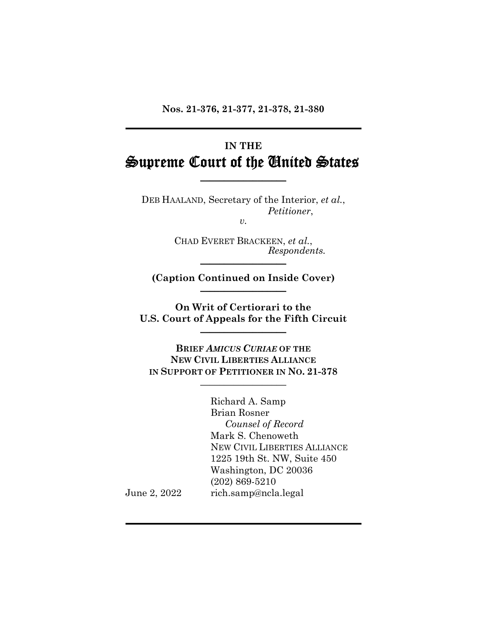**Nos. 21-376, 21-377, 21-378, 21-380** 

# **IN THE** Supreme Court of the United States

**\_\_\_\_\_\_\_\_\_\_\_\_\_\_\_\_\_\_**

 DEB HAALAND, Secretary of the Interior, *et al.*, *Petitioner*, *v.* 

 CHAD EVERET BRACKEEN, *et al.*,  $Respondents.$ 

**(Caption Continued on Inside Cover)** \_\_\_\_\_\_\_\_\_\_\_\_\_\_\_\_\_\_

**On Writ of Certiorari to the U.S. Court of Appeals for the Fifth Circuit** 

 **BRIEF** *AMICUS CURIAE* **OF THE NEW CIVIL LIBERTIES ALLIANCE IN SUPPORT OF PETITIONER IN NO. 21-378 \_\_\_\_\_\_\_\_\_\_\_\_\_\_\_\_\_\_**

Richard A. Samp Brian Rosner *Counsel of Record* Mark S. Chenoweth NEW CIVIL LIBERTIES ALLIANCE 1225 19th St. NW, Suite 450 Washington, DC 20036 (202) 869-5210 June 2, 2022 rich.samp@ncla.legal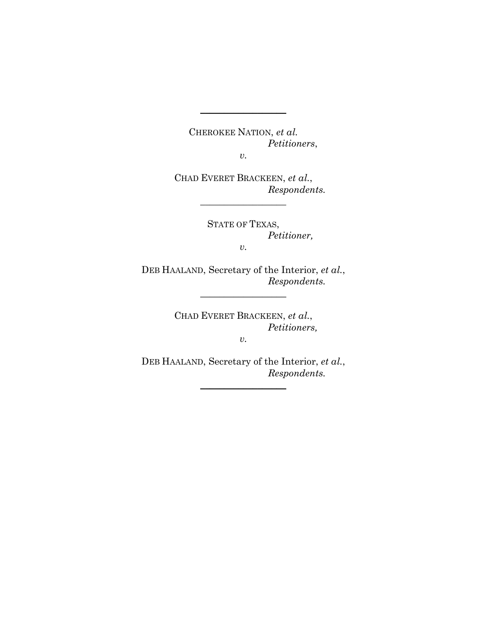CHEROKEE NATION, *et al. Petitioners*,

*v.* 

**\_\_\_\_\_\_\_\_\_\_\_\_\_\_\_\_\_\_**

 CHAD EVERET BRACKEEN, *et al.*, *Respondents.* 

\_\_\_\_\_\_\_\_\_\_\_\_\_\_\_\_\_\_

 STATE OF TEXAS, *Petitioner, v.* 

 DEB HAALAND, Secretary of the Interior, *et al.*, *Respondents.*

 $\_$ 

 CHAD EVERET BRACKEEN, *et al.*, *Petitioners,* 

*v.* 

 DEB HAALAND, Secretary of the Interior, *et al.*, *Respondents.*

\_\_\_\_\_\_\_\_\_\_\_\_\_\_\_\_\_\_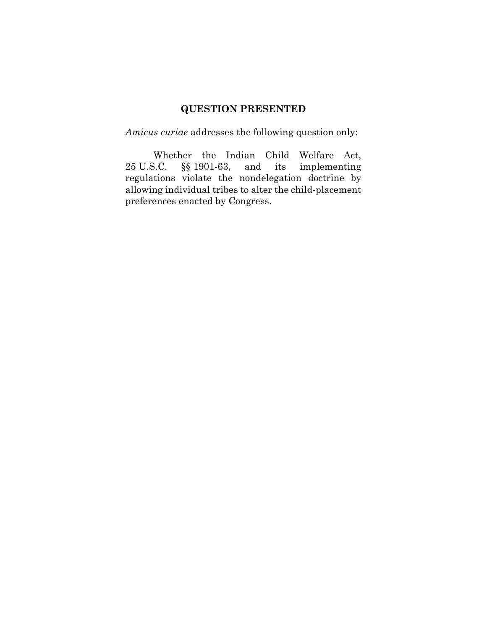# **QUESTION PRESENTED**

*Amicus curiae* addresses the following question only:

Whether the Indian Child Welfare Act, 25 U.S.C. §§ 1901-63, and its implementing regulations violate the nondelegation doctrine by allowing individual tribes to alter the child-placement preferences enacted by Congress.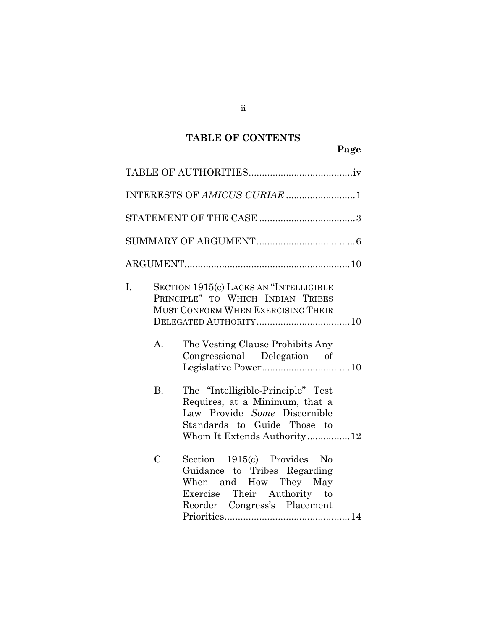## **TABLE OF CONTENTS**

|                   | INTERESTS OF AMICUS CURIAE 1                                                                                                                                                         |
|-------------------|--------------------------------------------------------------------------------------------------------------------------------------------------------------------------------------|
|                   |                                                                                                                                                                                      |
|                   |                                                                                                                                                                                      |
|                   |                                                                                                                                                                                      |
| I.<br>$A_{\cdot}$ | SECTION 1915(c) LACKS AN "INTELLIGIBLE<br>PRINCIPLE" TO WHICH INDIAN TRIBES<br>MUST CONFORM WHEN EXERCISING THEIR<br>The Vesting Clause Prohibits Any<br>Congressional Delegation of |
| <b>B.</b>         | The "Intelligible-Principle" Test<br>Requires, at a Minimum, that a<br>Law Provide Some Discernible<br>Standards to Guide Those to<br>Whom It Extends Authority12                    |
| C.                | Section 1915(c) Provides No<br>Guidance to Tribes Regarding<br>When and How They May<br>Exercise Their Authority to<br>Reorder Congress's Placement                                  |

ii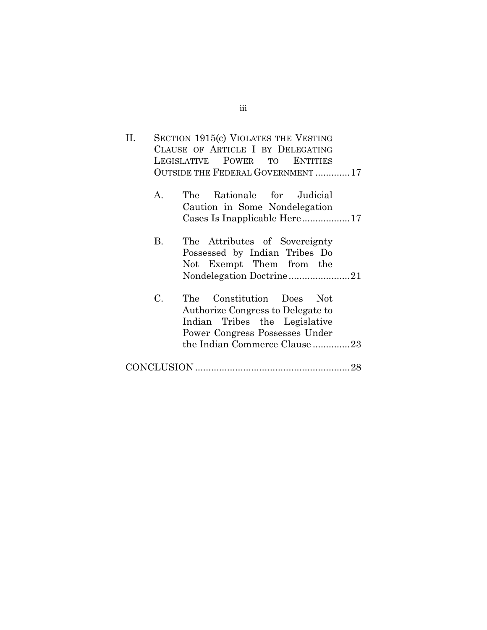| H. | SECTION 1915(c) VIOLATES THE VESTING |
|----|--------------------------------------|
|    | CLAUSE OF ARTICLE I BY DELEGATING    |
|    | LEGISLATIVE POWER TO ENTITIES        |
|    | OUTSIDE THE FEDERAL GOVERNMENT17     |
|    |                                      |

| A. |  |  | The Rationale for Judicial    |  |
|----|--|--|-------------------------------|--|
|    |  |  | Caution in Some Nondelegation |  |
|    |  |  |                               |  |

- B. The Attributes of Sovereignty Possessed by Indian Tribes Do Not Exempt Them from the Nondelegation Doctrine ....................... 21
- C. The Constitution Does Not Authorize Congress to Delegate to Indian Tribes the Legislative Power Congress Possesses Under the Indian Commerce Clause .............. 23
- CONCLUSION .......................................................... 28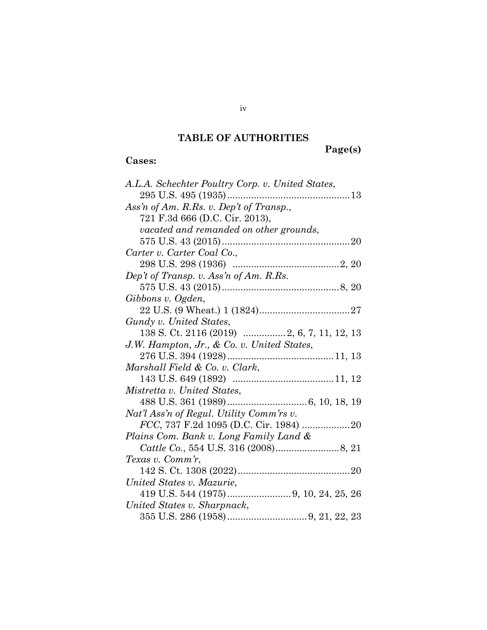## **TABLE OF AUTHORITIES**

**Page(s)**

## **Cases:**

| A.L.A. Schechter Poultry Corp. v. United States, |
|--------------------------------------------------|
|                                                  |
| Ass'n of Am. R.Rs. v. Dep't of Transp.,          |
| 721 F.3d 666 (D.C. Cir. 2013),                   |
| vacated and remanded on other grounds,           |
|                                                  |
| Carter v. Carter Coal Co.,                       |
|                                                  |
| Dep't of Transp. v. Ass'n of Am. R.Rs.           |
|                                                  |
| Gibbons v. Ogden,                                |
|                                                  |
| Gundy v. United States,                          |
| 138 S. Ct. 2116 (2019)  2, 6, 7, 11, 12, 13      |
| J.W. Hampton, Jr., & Co. v. United States,       |
|                                                  |
| Marshall Field & Co. v. Clark,                   |
|                                                  |
| Mistretta v. United States,                      |
|                                                  |
| Nat'l Ass'n of Regul. Utility Comm'rs v.         |
|                                                  |
| Plains Com. Bank v. Long Family Land &           |
|                                                  |
| Texas v. Comm'r,                                 |
|                                                  |
| United States v. Mazurie,                        |
|                                                  |
| United States v. Sharpnack,                      |
|                                                  |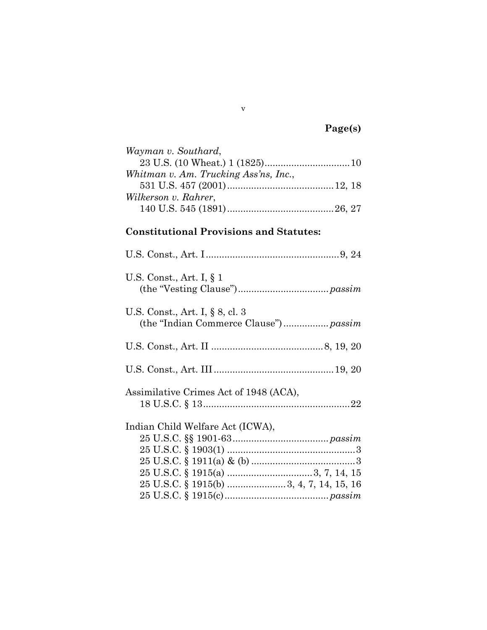# **Page(s)**

| Wayman v. Southard,                   |  |
|---------------------------------------|--|
|                                       |  |
| Whitman v. Am. Trucking Ass'ns, Inc., |  |
|                                       |  |
| Wilkerson v. Rahrer,                  |  |
|                                       |  |

## **Constitutional Provisions and Statutes:**

| U.S. Const., Art. I, $\S$ 1            |
|----------------------------------------|
| U.S. Const., Art. I, § 8, cl. 3        |
|                                        |
|                                        |
| Assimilative Crimes Act of 1948 (ACA), |
|                                        |
| Indian Child Welfare Act (ICWA),       |
|                                        |
|                                        |
|                                        |
|                                        |
|                                        |
|                                        |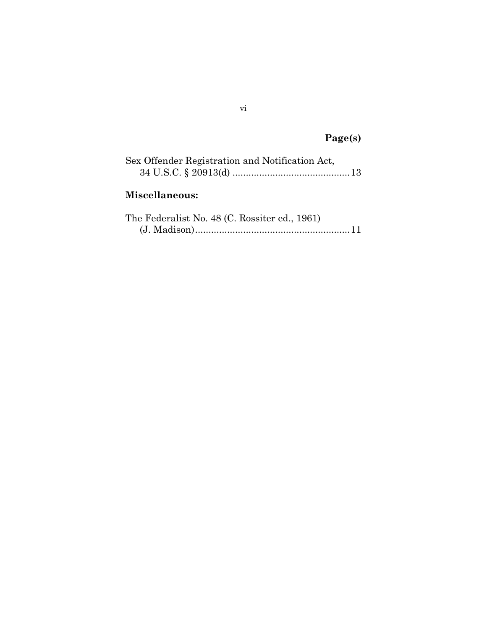# **Page(s)**

| Sex Offender Registration and Notification Act, |  |
|-------------------------------------------------|--|
|                                                 |  |
| Miscellaneous:                                  |  |

| The Federalist No. 48 (C. Rossiter ed., 1961) |  |
|-----------------------------------------------|--|
|                                               |  |

vi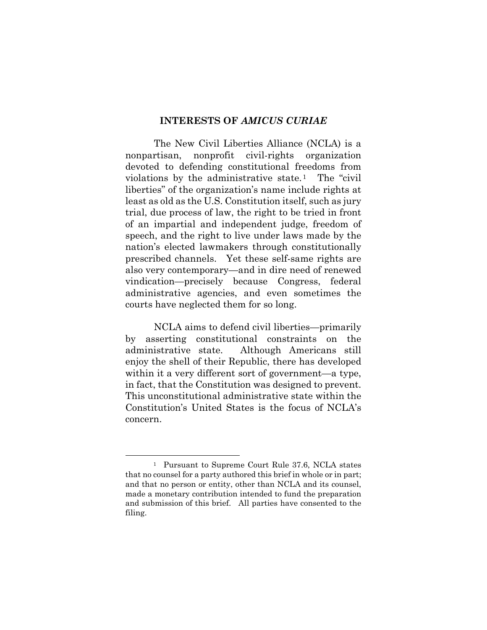#### **INTERESTS OF** *AMICUS CURIAE*

The New Civil Liberties Alliance (NCLA) is a nonpartisan, nonprofit civil-rights organization devoted to defending constitutional freedoms from violations by the administrative state.<sup>1</sup> The "civil" liberties" of the organization's name include rights at least as old as the U.S. Constitution itself, such as jury trial, due process of law, the right to be tried in front of an impartial and independent judge, freedom of speech, and the right to live under laws made by the nation's elected lawmakers through constitutionally prescribed channels. Yet these self-same rights are also very contemporary—and in dire need of renewed vindication—precisely because Congress, federal administrative agencies, and even sometimes the courts have neglected them for so long.

NCLA aims to defend civil liberties—primarily by asserting constitutional constraints on the administrative state. Although Americans still enjoy the shell of their Republic, there has developed within it a very different sort of government—a type, in fact, that the Constitution was designed to prevent. This unconstitutional administrative state within the Constitution's United States is the focus of NCLA's concern.

<sup>1</sup> Pursuant to Supreme Court Rule 37.6, NCLA states that no counsel for a party authored this brief in whole or in part; and that no person or entity, other than NCLA and its counsel, made a monetary contribution intended to fund the preparation and submission of this brief. All parties have consented to the filing.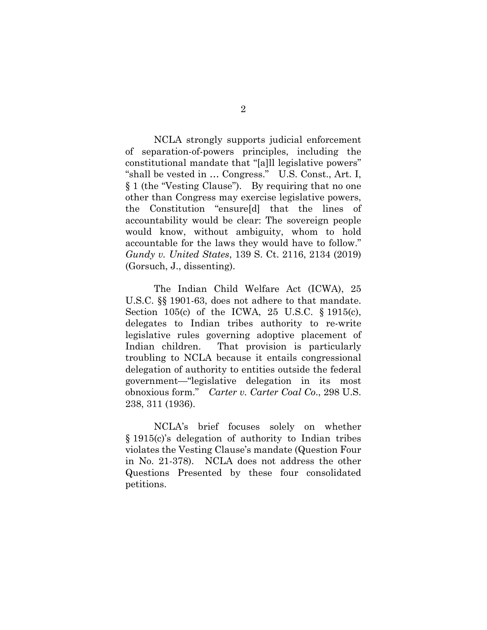NCLA strongly supports judicial enforcement of separation-of-powers principles, including the constitutional mandate that "[a]ll legislative powers" "shall be vested in … Congress." U.S. Const., Art. I, § 1 (the "Vesting Clause"). By requiring that no one other than Congress may exercise legislative powers, the Constitution "ensure[d] that the lines of accountability would be clear: The sovereign people would know, without ambiguity, whom to hold accountable for the laws they would have to follow." *Gundy v. United States*, 139 S. Ct. 2116, 2134 (2019) (Gorsuch, J., dissenting).

The Indian Child Welfare Act (ICWA), 25 U.S.C. §§ 1901-63, does not adhere to that mandate. Section 105(c) of the ICWA, 25 U.S.C. § 1915(c), delegates to Indian tribes authority to re-write legislative rules governing adoptive placement of Indian children. That provision is particularly troubling to NCLA because it entails congressional delegation of authority to entities outside the federal government—"legislative delegation in its most obnoxious form." *Carter v. Carter Coal Co*., 298 U.S. 238, 311 (1936).

NCLA's brief focuses solely on whether § 1915(c)'s delegation of authority to Indian tribes violates the Vesting Clause's mandate (Question Four in No. 21-378). NCLA does not address the other Questions Presented by these four consolidated petitions.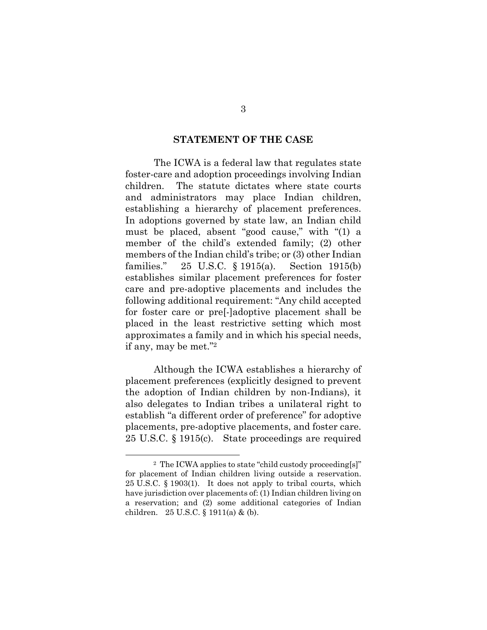#### **STATEMENT OF THE CASE**

The ICWA is a federal law that regulates state foster-care and adoption proceedings involving Indian children. The statute dictates where state courts and administrators may place Indian children, establishing a hierarchy of placement preferences. In adoptions governed by state law, an Indian child must be placed, absent "good cause," with "(1) a member of the child's extended family; (2) other members of the Indian child's tribe; or (3) other Indian families." 25 U.S.C. § 1915(a). Section 1915(b) establishes similar placement preferences for foster care and pre-adoptive placements and includes the following additional requirement: "Any child accepted for foster care or pre[-]adoptive placement shall be placed in the least restrictive setting which most approximates a family and in which his special needs, if any, may be met."2

Although the ICWA establishes a hierarchy of placement preferences (explicitly designed to prevent the adoption of Indian children by non-Indians), it also delegates to Indian tribes a unilateral right to establish "a different order of preference" for adoptive placements, pre-adoptive placements, and foster care. 25 U.S.C. § 1915(c). State proceedings are required

<sup>2</sup> The ICWA applies to state "child custody proceeding[s]" for placement of Indian children living outside a reservation. 25 U.S.C. § 1903(1). It does not apply to tribal courts, which have jurisdiction over placements of: (1) Indian children living on a reservation; and (2) some additional categories of Indian children. 25 U.S.C. § 1911(a) & (b).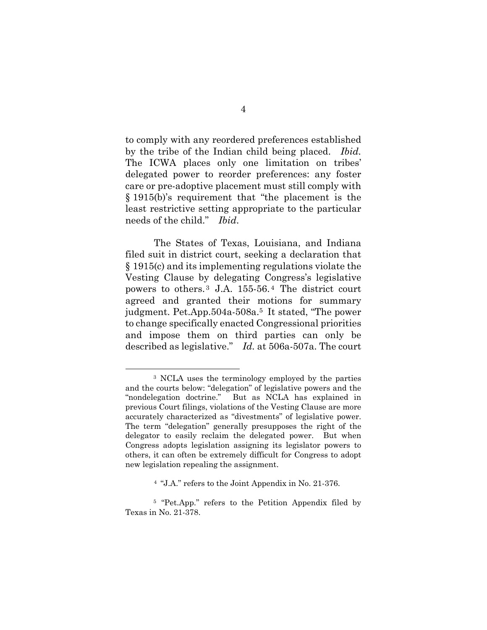to comply with any reordered preferences established by the tribe of the Indian child being placed. *Ibid.* The ICWA places only one limitation on tribes' delegated power to reorder preferences: any foster care or pre-adoptive placement must still comply with § 1915(b)'s requirement that "the placement is the least restrictive setting appropriate to the particular needs of the child." *Ibid*.

The States of Texas, Louisiana, and Indiana filed suit in district court, seeking a declaration that § 1915(c) and its implementing regulations violate the Vesting Clause by delegating Congress's legislative powers to others. 3 J.A. 155-56. 4 The district court agreed and granted their motions for summary judgment. Pet.App.504a-508a.5 It stated, "The power to change specifically enacted Congressional priorities and impose them on third parties can only be described as legislative." *Id.* at 506a-507a. The court

<sup>3</sup> NCLA uses the terminology employed by the parties and the courts below: "delegation" of legislative powers and the "nondelegation doctrine." But as NCLA has explained in previous Court filings, violations of the Vesting Clause are more accurately characterized as "divestments" of legislative power. The term "delegation" generally presupposes the right of the delegator to easily reclaim the delegated power. But when Congress adopts legislation assigning its legislator powers to others, it can often be extremely difficult for Congress to adopt new legislation repealing the assignment.

<sup>4 &</sup>quot;J.A." refers to the Joint Appendix in No. 21-376.

<sup>5 &</sup>quot;Pet.App." refers to the Petition Appendix filed by Texas in No. 21-378.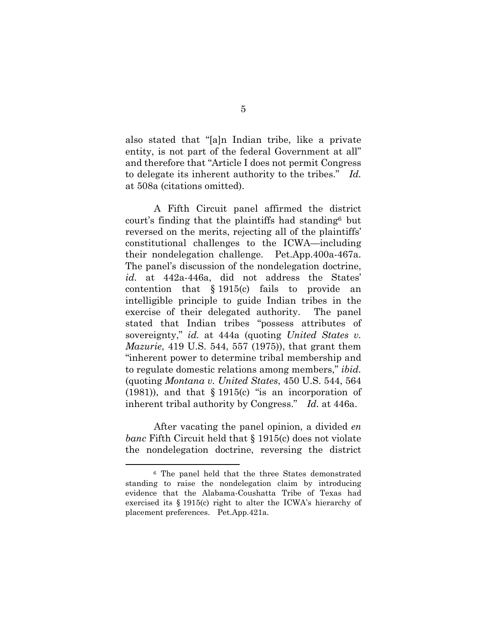also stated that "[a]n Indian tribe, like a private entity, is not part of the federal Government at all" and therefore that "Article I does not permit Congress to delegate its inherent authority to the tribes." *Id.* at 508a (citations omitted).

A Fifth Circuit panel affirmed the district court's finding that the plaintiffs had standing6 but reversed on the merits, rejecting all of the plaintiffs' constitutional challenges to the ICWA—including their nondelegation challenge. Pet.App.400a-467a. The panel's discussion of the nondelegation doctrine, *id.* at 442a-446a, did not address the States' contention that § 1915(c) fails to provide an intelligible principle to guide Indian tribes in the exercise of their delegated authority. The panel stated that Indian tribes "possess attributes of sovereignty," *id.* at 444a (quoting *United States v. Mazurie*, 419 U.S. 544, 557 (1975)), that grant them "inherent power to determine tribal membership and to regulate domestic relations among members," *ibid.*  (quoting *Montana v. United States*, 450 U.S. 544, 564  $(1981)$ , and that § 1915(c) "is an incorporation of inherent tribal authority by Congress." *Id.* at 446a.

After vacating the panel opinion, a divided *en banc* Fifth Circuit held that § 1915(c) does not violate the nondelegation doctrine, reversing the district

<sup>6</sup> The panel held that the three States demonstrated standing to raise the nondelegation claim by introducing evidence that the Alabama-Coushatta Tribe of Texas had exercised its § 1915(c) right to alter the ICWA's hierarchy of placement preferences. Pet.App.421a.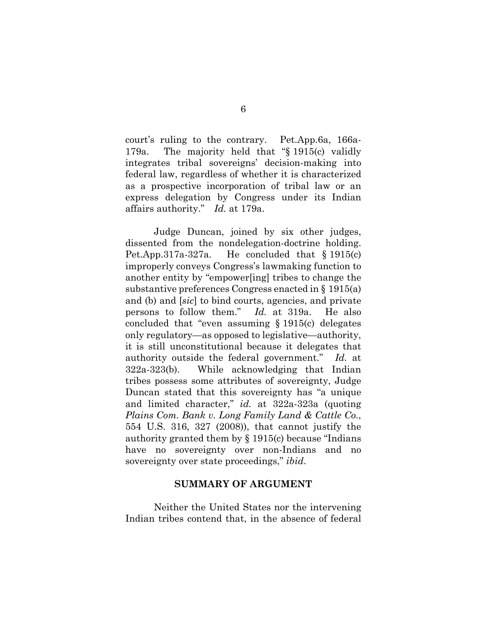court's ruling to the contrary. Pet.App.6a, 166a-179a. The majority held that "§ 1915(c) validly integrates tribal sovereigns' decision-making into federal law, regardless of whether it is characterized as a prospective incorporation of tribal law or an express delegation by Congress under its Indian affairs authority." *Id.* at 179a.

Judge Duncan, joined by six other judges, dissented from the nondelegation-doctrine holding. Pet.App.317a-327a. He concluded that § 1915(c) improperly conveys Congress's lawmaking function to another entity by "empower[ing] tribes to change the substantive preferences Congress enacted in § 1915(a) and (b) and [*sic*] to bind courts, agencies, and private persons to follow them." *Id.* at 319a. He also concluded that "even assuming § 1915(c) delegates only regulatory—as opposed to legislative—authority, it is still unconstitutional because it delegates that authority outside the federal government." *Id.* at 322a-323(b). While acknowledging that Indian tribes possess some attributes of sovereignty, Judge Duncan stated that this sovereignty has "a unique and limited character," *id.* at 322a-323a (quoting *Plains Com. Bank v. Long Family Land & Cattle Co.*, 554 U.S. 316, 327 (2008)), that cannot justify the authority granted them by § 1915(c) because "Indians have no sovereignty over non-Indians and no sovereignty over state proceedings," *ibid*.

#### **SUMMARY OF ARGUMENT**

Neither the United States nor the intervening Indian tribes contend that, in the absence of federal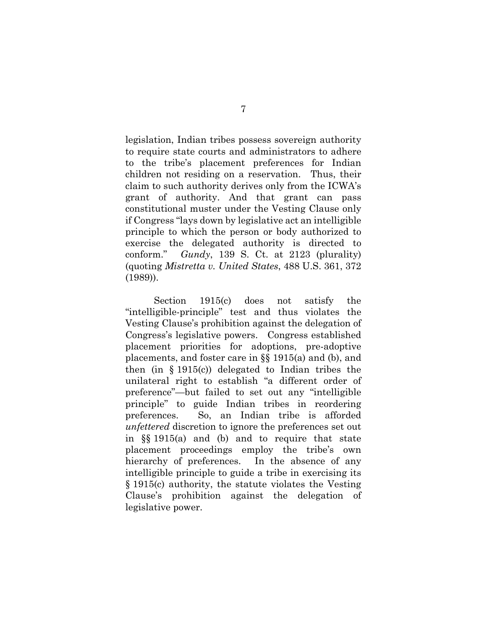legislation, Indian tribes possess sovereign authority to require state courts and administrators to adhere to the tribe's placement preferences for Indian children not residing on a reservation. Thus, their claim to such authority derives only from the ICWA's grant of authority. And that grant can pass constitutional muster under the Vesting Clause only if Congress "lays down by legislative act an intelligible principle to which the person or body authorized to exercise the delegated authority is directed to conform." *Gundy*, 139 S. Ct. at 2123 (plurality) (quoting *Mistretta v. United States*, 488 U.S. 361, 372 (1989)).

Section 1915(c) does not satisfy the "intelligible-principle" test and thus violates the Vesting Clause's prohibition against the delegation of Congress's legislative powers. Congress established placement priorities for adoptions, pre-adoptive placements, and foster care in §§ 1915(a) and (b), and then (in § 1915(c)) delegated to Indian tribes the unilateral right to establish "a different order of preference"—but failed to set out any "intelligible principle" to guide Indian tribes in reordering preferences. So, an Indian tribe is afforded *unfettered* discretion to ignore the preferences set out in §§ 1915(a) and (b) and to require that state placement proceedings employ the tribe's own hierarchy of preferences. In the absence of any intelligible principle to guide a tribe in exercising its § 1915(c) authority, the statute violates the Vesting Clause's prohibition against the delegation of legislative power.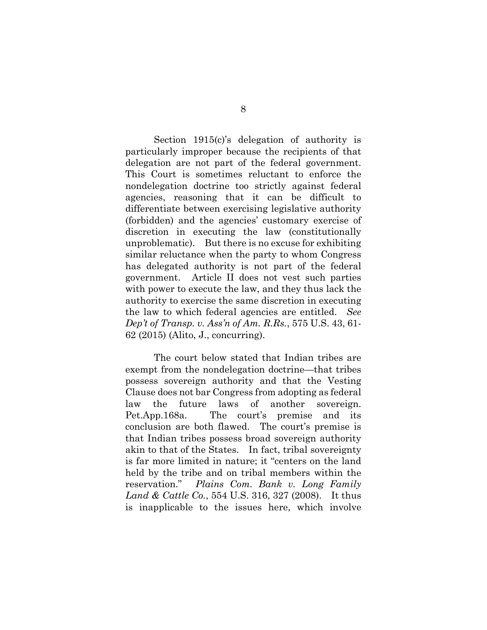Section 1915(c)'s delegation of authority is particularly improper because the recipients of that delegation are not part of the federal government. This Court is sometimes reluctant to enforce the nondelegation doctrine too strictly against federal agencies, reasoning that it can be difficult to differentiate between exercising legislative authority (forbidden) and the agencies' customary exercise of discretion in executing the law (constitutionally unproblematic). But there is no excuse for exhibiting similar reluctance when the party to whom Congress has delegated authority is not part of the federal government. Article II does not vest such parties with power to execute the law, and they thus lack the authority to exercise the same discretion in executing the law to which federal agencies are entitled. *See Dep't of Transp. v. Ass'n of Am. R.Rs.*, 575 U.S. 43, 61- 62 (2015) (Alito, J., concurring).

The court below stated that Indian tribes are exempt from the nondelegation doctrine—that tribes possess sovereign authority and that the Vesting Clause does not bar Congress from adopting as federal law the future laws of another sovereign. Pet.App.168a. The court's premise and its conclusion are both flawed. The court's premise is that Indian tribes possess broad sovereign authority akin to that of the States. In fact, tribal sovereignty is far more limited in nature; it "centers on the land held by the tribe and on tribal members within the reservation." *Plains Com. Bank v. Long Family Land & Cattle Co.*, 554 U.S. 316, 327 (2008). It thus is inapplicable to the issues here, which involve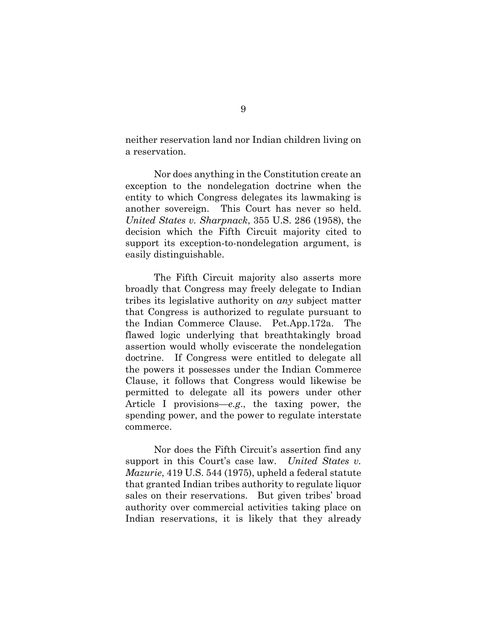neither reservation land nor Indian children living on a reservation.

Nor does anything in the Constitution create an exception to the nondelegation doctrine when the entity to which Congress delegates its lawmaking is another sovereign. This Court has never so held. *United States v. Sharpnack*, 355 U.S. 286 (1958), the decision which the Fifth Circuit majority cited to support its exception-to-nondelegation argument, is easily distinguishable.

The Fifth Circuit majority also asserts more broadly that Congress may freely delegate to Indian tribes its legislative authority on *any* subject matter that Congress is authorized to regulate pursuant to the Indian Commerce Clause. Pet.App.172a. The flawed logic underlying that breathtakingly broad assertion would wholly eviscerate the nondelegation doctrine. If Congress were entitled to delegate all the powers it possesses under the Indian Commerce Clause, it follows that Congress would likewise be permitted to delegate all its powers under other Article I provisions—*e.g*., the taxing power, the spending power, and the power to regulate interstate commerce.

Nor does the Fifth Circuit's assertion find any support in this Court's case law. *United States v. Mazurie*, 419 U.S. 544 (1975), upheld a federal statute that granted Indian tribes authority to regulate liquor sales on their reservations. But given tribes' broad authority over commercial activities taking place on Indian reservations, it is likely that they already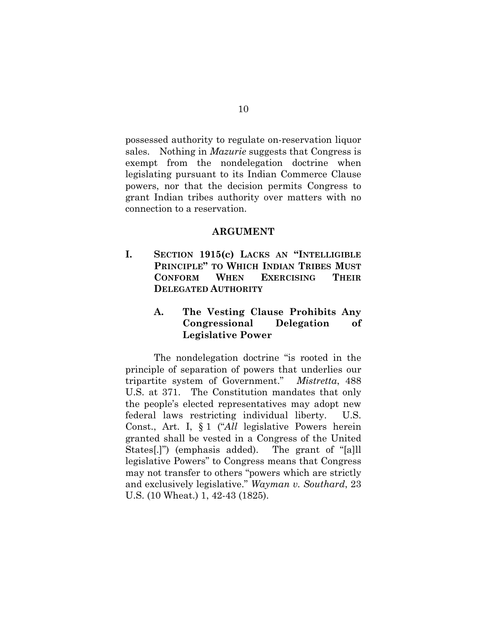possessed authority to regulate on-reservation liquor sales. Nothing in *Mazurie* suggests that Congress is exempt from the nondelegation doctrine when legislating pursuant to its Indian Commerce Clause powers, nor that the decision permits Congress to grant Indian tribes authority over matters with no connection to a reservation.

#### **ARGUMENT**

**I. SECTION 1915(c) LACKS AN "INTELLIGIBLE PRINCIPLE" TO WHICH INDIAN TRIBES MUST CONFORM WHEN EXERCISING THEIR DELEGATED AUTHORITY**

### **A. The Vesting Clause Prohibits Any Congressional Delegation of Legislative Power**

The nondelegation doctrine "is rooted in the principle of separation of powers that underlies our tripartite system of Government." *Mistretta*, 488 U.S. at 371. The Constitution mandates that only the people's elected representatives may adopt new federal laws restricting individual liberty. U.S. Const., Art. I, § 1 ("*All* legislative Powers herein granted shall be vested in a Congress of the United States[.]") (emphasis added). The grant of "[a]ll legislative Powers" to Congress means that Congress may not transfer to others "powers which are strictly and exclusively legislative." *Wayman v. Southard*, 23 U.S. (10 Wheat.) 1, 42-43 (1825).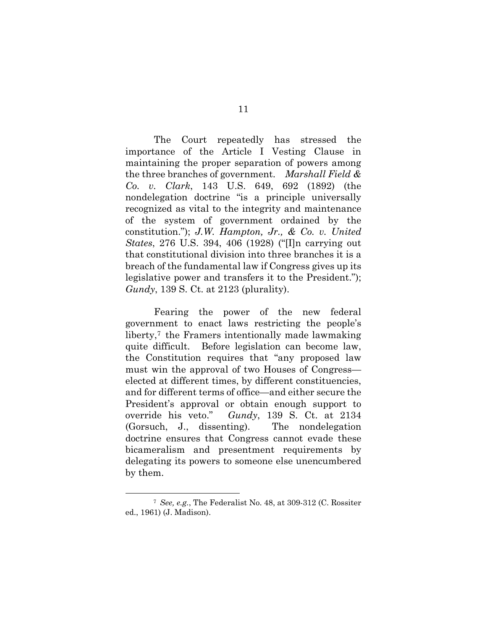The Court repeatedly has stressed the importance of the Article I Vesting Clause in maintaining the proper separation of powers among the three branches of government. *Marshall Field & Co. v. Clark*, 143 U.S. 649, 692 (1892) (the nondelegation doctrine "is a principle universally recognized as vital to the integrity and maintenance of the system of government ordained by the constitution."); *J.W. Hampton, Jr., & Co. v. United States*, 276 U.S. 394, 406 (1928) ("[I]n carrying out that constitutional division into three branches it is a breach of the fundamental law if Congress gives up its legislative power and transfers it to the President."); *Gundy*, 139 S. Ct. at 2123 (plurality).

Fearing the power of the new federal government to enact laws restricting the people's liberty,<sup>7</sup> the Framers intentionally made lawmaking quite difficult. Before legislation can become law, the Constitution requires that "any proposed law must win the approval of two Houses of Congress elected at different times, by different constituencies, and for different terms of office—and either secure the President's approval or obtain enough support to override his veto." *Gundy*, 139 S. Ct. at 2134 (Gorsuch, J., dissenting). The nondelegation doctrine ensures that Congress cannot evade these bicameralism and presentment requirements by delegating its powers to someone else unencumbered by them.

<sup>7</sup> *See, e.g.*, The Federalist No. 48, at 309-312 (C. Rossiter ed., 1961) (J. Madison).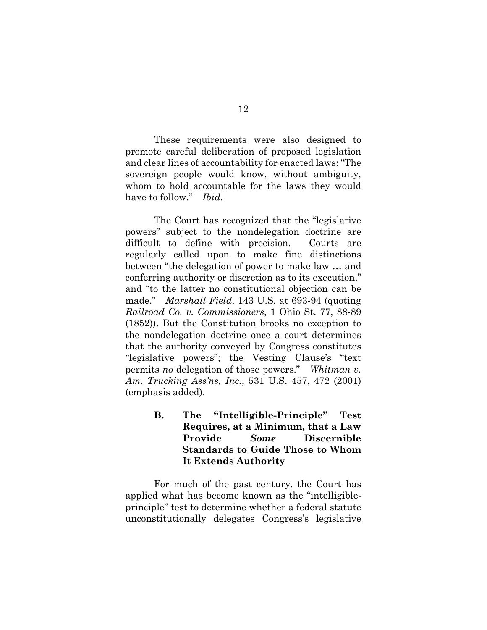These requirements were also designed to promote careful deliberation of proposed legislation and clear lines of accountability for enacted laws: "The sovereign people would know, without ambiguity, whom to hold accountable for the laws they would have to follow." *Ibid.*

The Court has recognized that the "legislative powers" subject to the nondelegation doctrine are difficult to define with precision. Courts are regularly called upon to make fine distinctions between "the delegation of power to make law … and conferring authority or discretion as to its execution," and "to the latter no constitutional objection can be made." *Marshall Field*, 143 U.S. at 693-94 (quoting *Railroad Co. v. Commissioners*, 1 Ohio St. 77, 88-89 (1852)). But the Constitution brooks no exception to the nondelegation doctrine once a court determines that the authority conveyed by Congress constitutes "legislative powers"; the Vesting Clause's "text permits *no* delegation of those powers." *Whitman v. Am. Trucking Ass'ns, Inc.*, 531 U.S. 457, 472 (2001) (emphasis added).

> **B. The "Intelligible-Principle" Test Requires, at a Minimum, that a Law Provide** *Some* **Discernible Standards to Guide Those to Whom It Extends Authority**

For much of the past century, the Court has applied what has become known as the "intelligibleprinciple" test to determine whether a federal statute unconstitutionally delegates Congress's legislative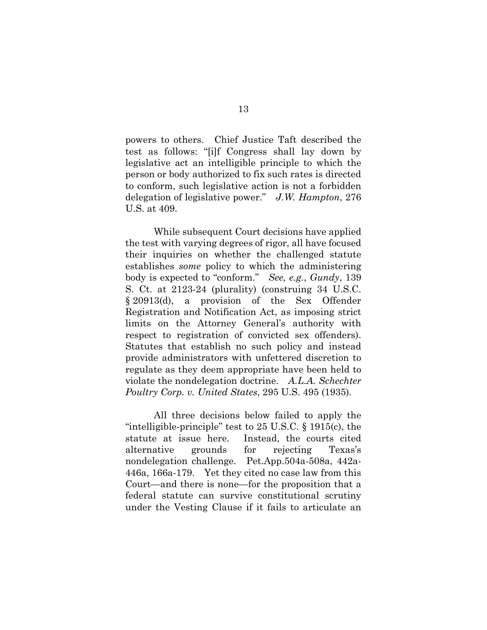powers to others. Chief Justice Taft described the test as follows: "[i]f Congress shall lay down by legislative act an intelligible principle to which the person or body authorized to fix such rates is directed to conform, such legislative action is not a forbidden delegation of legislative power." *J.W. Hampton*, 276 U.S. at 409.

While subsequent Court decisions have applied the test with varying degrees of rigor, all have focused their inquiries on whether the challenged statute establishes *some* policy to which the administering body is expected to "conform." *See, e.g.*, *Gundy*, 139 S. Ct. at 2123-24 (plurality) (construing 34 U.S.C. § 20913(d), a provision of the Sex Offender Registration and Notification Act, as imposing strict limits on the Attorney General's authority with respect to registration of convicted sex offenders). Statutes that establish no such policy and instead provide administrators with unfettered discretion to regulate as they deem appropriate have been held to violate the nondelegation doctrine. *A.L.A. Schechter Poultry Corp. v. United States*, 295 U.S. 495 (1935).

All three decisions below failed to apply the "intelligible-principle" test to 25 U.S.C. § 1915(c), the statute at issue here. Instead, the courts cited alternative grounds for rejecting Texas's nondelegation challenge. Pet.App.504a-508a, 442a-446a, 166a-179. Yet they cited no case law from this Court—and there is none—for the proposition that a federal statute can survive constitutional scrutiny under the Vesting Clause if it fails to articulate an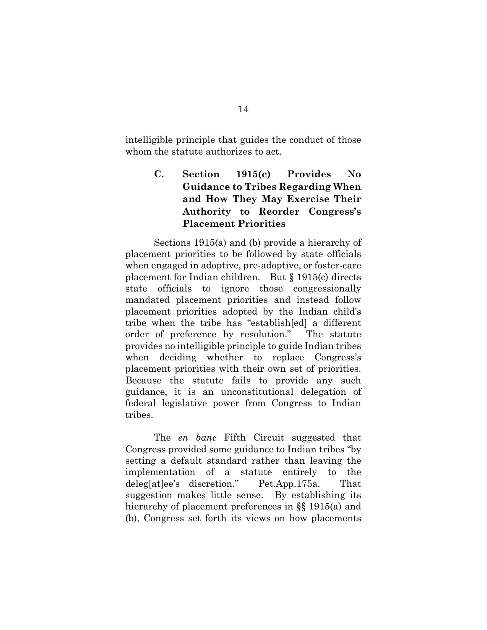intelligible principle that guides the conduct of those whom the statute authorizes to act.

## **C. Section 1915(c) Provides No Guidance to Tribes Regarding When and How They May Exercise Their Authority to Reorder Congress's Placement Priorities**

Sections 1915(a) and (b) provide a hierarchy of placement priorities to be followed by state officials when engaged in adoptive, pre-adoptive, or foster-care placement for Indian children. But § 1915(c) directs state officials to ignore those congressionally mandated placement priorities and instead follow placement priorities adopted by the Indian child's tribe when the tribe has "establish[ed] a different order of preference by resolution." The statute provides no intelligible principle to guide Indian tribes when deciding whether to replace Congress's placement priorities with their own set of priorities. Because the statute fails to provide any such guidance, it is an unconstitutional delegation of federal legislative power from Congress to Indian tribes.

The *en banc* Fifth Circuit suggested that Congress provided some guidance to Indian tribes "by setting a default standard rather than leaving the implementation of a statute entirely to the deleg[at]ee's discretion." Pet.App.175a. That suggestion makes little sense. By establishing its hierarchy of placement preferences in §§ 1915(a) and (b), Congress set forth its views on how placements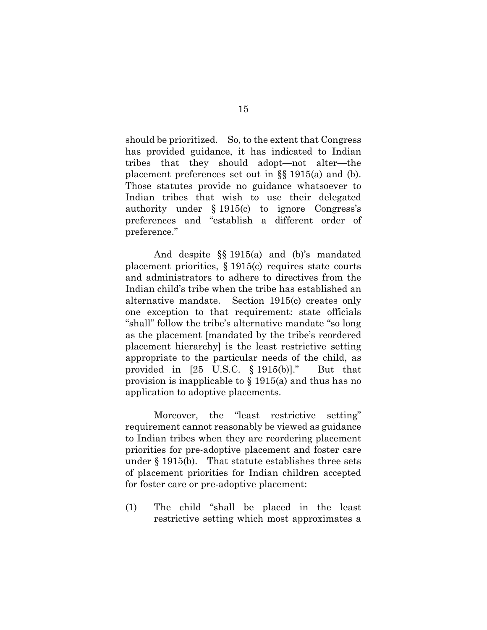should be prioritized. So, to the extent that Congress has provided guidance, it has indicated to Indian tribes that they should adopt—not alter—the placement preferences set out in §§ 1915(a) and (b). Those statutes provide no guidance whatsoever to Indian tribes that wish to use their delegated authority under § 1915(c) to ignore Congress's preferences and "establish a different order of preference."

And despite §§ 1915(a) and (b)'s mandated placement priorities, § 1915(c) requires state courts and administrators to adhere to directives from the Indian child's tribe when the tribe has established an alternative mandate. Section 1915(c) creates only one exception to that requirement: state officials "shall" follow the tribe's alternative mandate "so long as the placement [mandated by the tribe's reordered placement hierarchy] is the least restrictive setting appropriate to the particular needs of the child, as provided in [25 U.S.C. § 1915(b)]." But that provision is inapplicable to § 1915(a) and thus has no application to adoptive placements.

Moreover, the "least restrictive setting" requirement cannot reasonably be viewed as guidance to Indian tribes when they are reordering placement priorities for pre-adoptive placement and foster care under § 1915(b). That statute establishes three sets of placement priorities for Indian children accepted for foster care or pre-adoptive placement:

(1) The child "shall be placed in the least restrictive setting which most approximates a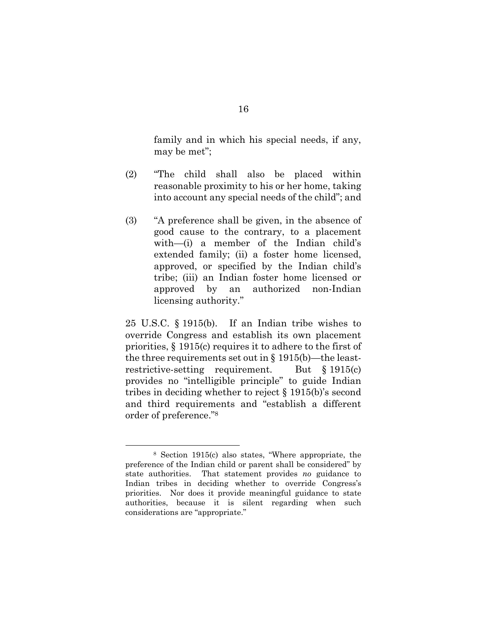family and in which his special needs, if any, may be met";

- (2) "The child shall also be placed within reasonable proximity to his or her home, taking into account any special needs of the child"; and
- (3) "A preference shall be given, in the absence of good cause to the contrary, to a placement with—(i) a member of the Indian child's extended family; (ii) a foster home licensed, approved, or specified by the Indian child's tribe; (iii) an Indian foster home licensed or approved by an authorized non-Indian licensing authority."

25 U.S.C. § 1915(b). If an Indian tribe wishes to override Congress and establish its own placement priorities, § 1915(c) requires it to adhere to the first of the three requirements set out in § 1915(b)—the leastrestrictive-setting requirement. But § 1915(c) provides no "intelligible principle" to guide Indian tribes in deciding whether to reject § 1915(b)'s second and third requirements and "establish a different order of preference."8

<sup>8</sup> Section 1915(c) also states, "Where appropriate, the preference of the Indian child or parent shall be considered" by state authorities. That statement provides *no* guidance to Indian tribes in deciding whether to override Congress's priorities. Nor does it provide meaningful guidance to state authorities, because it is silent regarding when such considerations are "appropriate."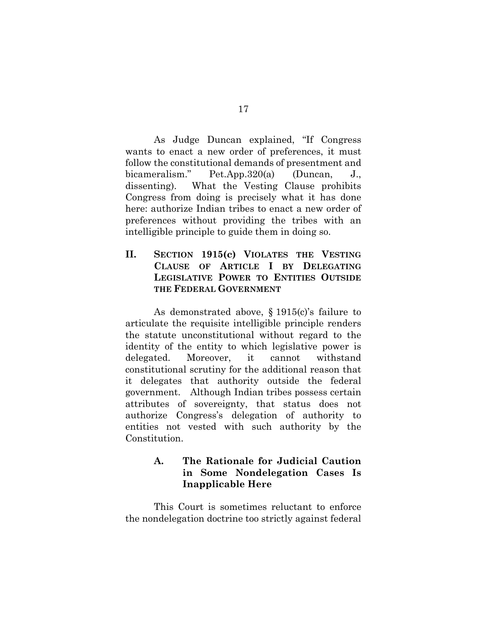As Judge Duncan explained, "If Congress wants to enact a new order of preferences, it must follow the constitutional demands of presentment and bicameralism." Pet.App.320(a) (Duncan, J., dissenting). What the Vesting Clause prohibits Congress from doing is precisely what it has done here: authorize Indian tribes to enact a new order of preferences without providing the tribes with an intelligible principle to guide them in doing so.

**II. SECTION 1915(c) VIOLATES THE VESTING CLAUSE OF ARTICLE I BY DELEGATING LEGISLATIVE POWER TO ENTITIES OUTSIDE THE FEDERAL GOVERNMENT**

As demonstrated above, § 1915(c)'s failure to articulate the requisite intelligible principle renders the statute unconstitutional without regard to the identity of the entity to which legislative power is delegated. Moreover, it cannot withstand constitutional scrutiny for the additional reason that it delegates that authority outside the federal government. Although Indian tribes possess certain attributes of sovereignty, that status does not authorize Congress's delegation of authority to entities not vested with such authority by the Constitution.

### **A. The Rationale for Judicial Caution in Some Nondelegation Cases Is Inapplicable Here**

This Court is sometimes reluctant to enforce the nondelegation doctrine too strictly against federal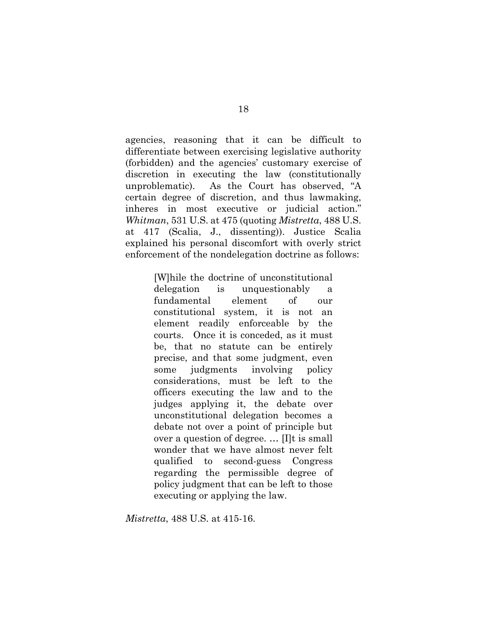agencies, reasoning that it can be difficult to differentiate between exercising legislative authority (forbidden) and the agencies' customary exercise of discretion in executing the law (constitutionally unproblematic). As the Court has observed, "A certain degree of discretion, and thus lawmaking, inheres in most executive or judicial action." *Whitman*, 531 U.S. at 475 (quoting *Mistretta*, 488 U.S. at 417 (Scalia, J., dissenting)). Justice Scalia explained his personal discomfort with overly strict enforcement of the nondelegation doctrine as follows:

> [W]hile the doctrine of unconstitutional delegation is unquestionably a fundamental element of our constitutional system, it is not an element readily enforceable by the courts. Once it is conceded, as it must be, that no statute can be entirely precise, and that some judgment, even some judgments involving policy considerations, must be left to the officers executing the law and to the judges applying it, the debate over unconstitutional delegation becomes a debate not over a point of principle but over a question of degree. … [I]t is small wonder that we have almost never felt qualified to second-guess Congress regarding the permissible degree of policy judgment that can be left to those executing or applying the law.

*Mistretta*, 488 U.S. at 415-16.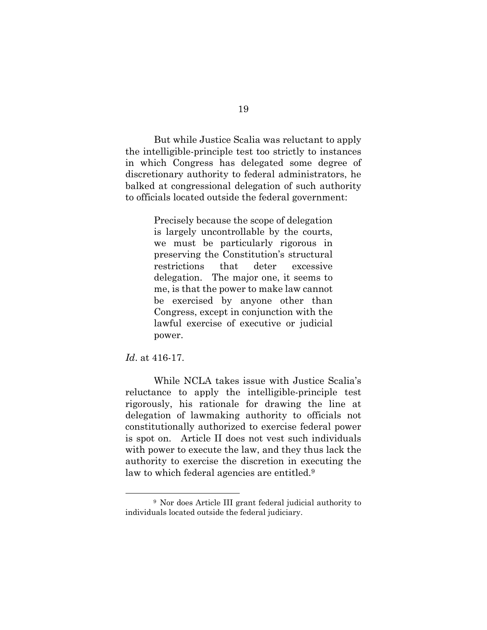But while Justice Scalia was reluctant to apply the intelligible-principle test too strictly to instances in which Congress has delegated some degree of discretionary authority to federal administrators, he balked at congressional delegation of such authority to officials located outside the federal government:

> Precisely because the scope of delegation is largely uncontrollable by the courts, we must be particularly rigorous in preserving the Constitution's structural restrictions that deter excessive delegation. The major one, it seems to me, is that the power to make law cannot be exercised by anyone other than Congress, except in conjunction with the lawful exercise of executive or judicial power.

#### *Id*. at 416-17.

While NCLA takes issue with Justice Scalia's reluctance to apply the intelligible-principle test rigorously, his rationale for drawing the line at delegation of lawmaking authority to officials not constitutionally authorized to exercise federal power is spot on. Article II does not vest such individuals with power to execute the law, and they thus lack the authority to exercise the discretion in executing the law to which federal agencies are entitled.<sup>9</sup>

<sup>9</sup> Nor does Article III grant federal judicial authority to individuals located outside the federal judiciary.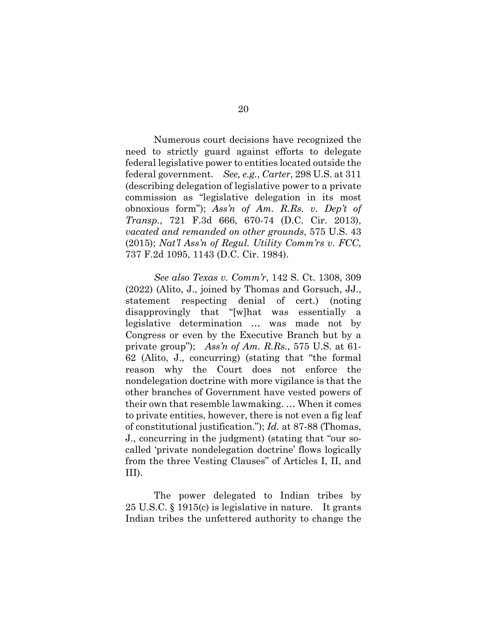Numerous court decisions have recognized the need to strictly guard against efforts to delegate federal legislative power to entities located outside the federal government. *See, e.g.*, *Carter*, 298 U.S. at 311 (describing delegation of legislative power to a private commission as "legislative delegation in its most obnoxious form"); *Ass'n of Am. R.Rs. v. Dep't of Transp.*, 721 F.3d 666, 670-74 (D.C. Cir. 2013), *vacated and remanded on other grounds*, 575 U.S. 43 (2015); *Nat'l Ass'n of Regul. Utility Comm'rs v. FCC*, 737 F.2d 1095, 1143 (D.C. Cir. 1984).

*See also Texas v. Comm'r*, 142 S. Ct. 1308, 309 (2022) (Alito, J., joined by Thomas and Gorsuch, JJ., statement respecting denial of cert.) (noting disapprovingly that "[w]hat was essentially a legislative determination … was made not by Congress or even by the Executive Branch but by a private group"); *Ass'n of Am. R.Rs.*, 575 U.S. at 61- 62 (Alito, J., concurring) (stating that "the formal reason why the Court does not enforce the nondelegation doctrine with more vigilance is that the other branches of Government have vested powers of their own that resemble lawmaking. … When it comes to private entities, however, there is not even a fig leaf of constitutional justification."); *Id.* at 87-88 (Thomas, J., concurring in the judgment) (stating that "our socalled 'private nondelegation doctrine' flows logically from the three Vesting Clauses" of Articles I, II, and III).

The power delegated to Indian tribes by 25 U.S.C. § 1915(c) is legislative in nature. It grants Indian tribes the unfettered authority to change the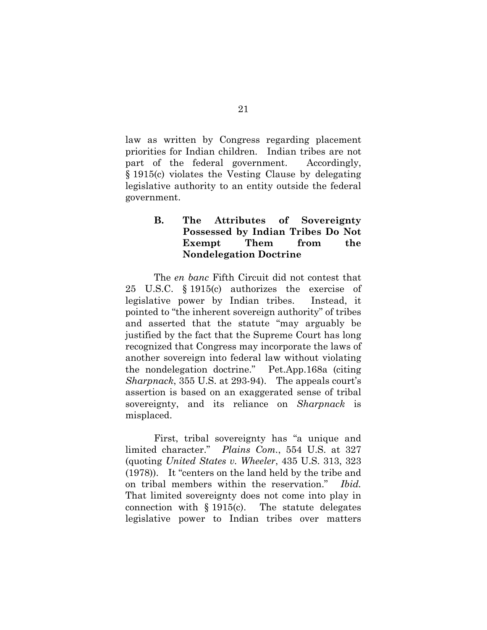law as written by Congress regarding placement priorities for Indian children. Indian tribes are not part of the federal government. Accordingly, § 1915(c) violates the Vesting Clause by delegating legislative authority to an entity outside the federal government.

### **B. The Attributes of Sovereignty Possessed by Indian Tribes Do Not Exempt Them from the Nondelegation Doctrine**

The *en banc* Fifth Circuit did not contest that 25 U.S.C. § 1915(c) authorizes the exercise of legislative power by Indian tribes. Instead, it pointed to "the inherent sovereign authority" of tribes and asserted that the statute "may arguably be justified by the fact that the Supreme Court has long recognized that Congress may incorporate the laws of another sovereign into federal law without violating the nondelegation doctrine." Pet.App.168a (citing *Sharpnack*, 355 U.S. at 293-94). The appeals court's assertion is based on an exaggerated sense of tribal sovereignty, and its reliance on *Sharpnack* is misplaced.

First, tribal sovereignty has "a unique and limited character." *Plains Com.*, 554 U.S. at 327 (quoting *United States v. Wheeler*, 435 U.S. 313, 323 (1978)). It "centers on the land held by the tribe and on tribal members within the reservation." *Ibid.* That limited sovereignty does not come into play in connection with  $\S 1915(c)$ . The statute delegates legislative power to Indian tribes over matters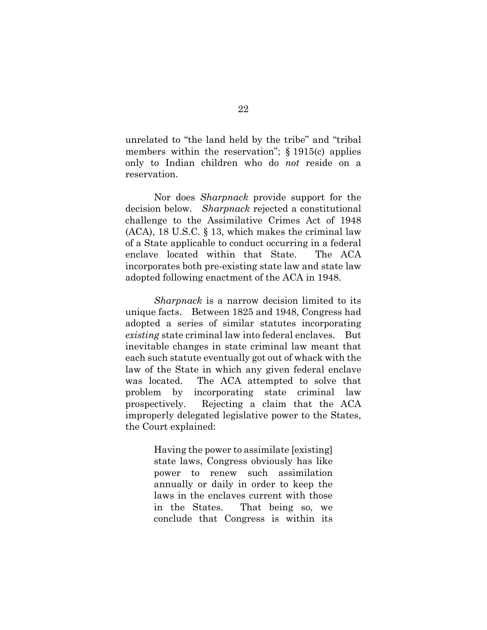unrelated to "the land held by the tribe" and "tribal members within the reservation"; § 1915(c) applies only to Indian children who do *not* reside on a reservation.

Nor does *Sharpnack* provide support for the decision below. *Sharpnack* rejected a constitutional challenge to the Assimilative Crimes Act of 1948 (ACA), 18 U.S.C. § 13, which makes the criminal law of a State applicable to conduct occurring in a federal enclave located within that State. The ACA incorporates both pre-existing state law and state law adopted following enactment of the ACA in 1948.

*Sharpnack* is a narrow decision limited to its unique facts. Between 1825 and 1948, Congress had adopted a series of similar statutes incorporating *existing* state criminal law into federal enclaves. But inevitable changes in state criminal law meant that each such statute eventually got out of whack with the law of the State in which any given federal enclave was located. The ACA attempted to solve that problem by incorporating state criminal law prospectively. Rejecting a claim that the ACA improperly delegated legislative power to the States, the Court explained:

> Having the power to assimilate [existing] state laws, Congress obviously has like power to renew such assimilation annually or daily in order to keep the laws in the enclaves current with those in the States. That being so, we conclude that Congress is within its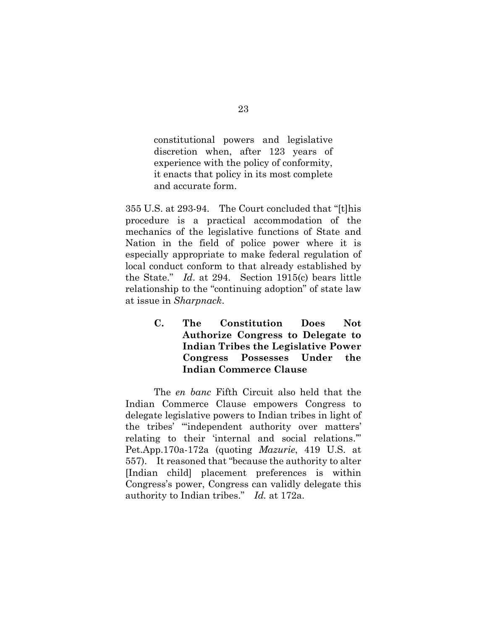constitutional powers and legislative discretion when, after 123 years of experience with the policy of conformity, it enacts that policy in its most complete and accurate form.

355 U.S. at 293-94. The Court concluded that "[t]his procedure is a practical accommodation of the mechanics of the legislative functions of State and Nation in the field of police power where it is especially appropriate to make federal regulation of local conduct conform to that already established by the State." *Id*. at 294. Section 1915(c) bears little relationship to the "continuing adoption" of state law at issue in *Sharpnack*.

> **C. The Constitution Does Not Authorize Congress to Delegate to Indian Tribes the Legislative Power Congress Possesses Under the Indian Commerce Clause**

The *en banc* Fifth Circuit also held that the Indian Commerce Clause empowers Congress to delegate legislative powers to Indian tribes in light of the tribes' "'independent authority over matters' relating to their 'internal and social relations.'" Pet.App.170a-172a (quoting *Mazurie*, 419 U.S. at 557). It reasoned that "because the authority to alter [Indian child] placement preferences is within Congress's power, Congress can validly delegate this authority to Indian tribes." *Id.* at 172a.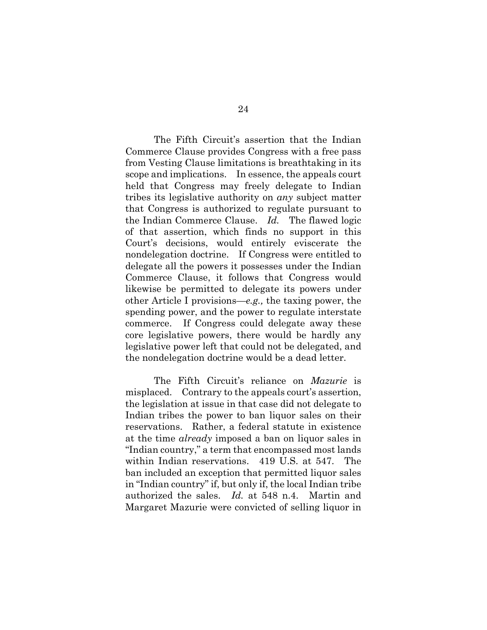The Fifth Circuit's assertion that the Indian Commerce Clause provides Congress with a free pass from Vesting Clause limitations is breathtaking in its scope and implications. In essence, the appeals court held that Congress may freely delegate to Indian tribes its legislative authority on *any* subject matter that Congress is authorized to regulate pursuant to the Indian Commerce Clause. *Id.* The flawed logic of that assertion, which finds no support in this Court's decisions, would entirely eviscerate the nondelegation doctrine. If Congress were entitled to delegate all the powers it possesses under the Indian Commerce Clause, it follows that Congress would likewise be permitted to delegate its powers under other Article I provisions—*e.g.,* the taxing power, the spending power, and the power to regulate interstate commerce. If Congress could delegate away these core legislative powers, there would be hardly any legislative power left that could not be delegated, and the nondelegation doctrine would be a dead letter.

The Fifth Circuit's reliance on *Mazurie* is misplaced. Contrary to the appeals court's assertion, the legislation at issue in that case did not delegate to Indian tribes the power to ban liquor sales on their reservations. Rather, a federal statute in existence at the time *already* imposed a ban on liquor sales in "Indian country," a term that encompassed most lands within Indian reservations. 419 U.S. at 547. The ban included an exception that permitted liquor sales in "Indian country" if, but only if, the local Indian tribe authorized the sales. *Id.* at 548 n.4. Martin and Margaret Mazurie were convicted of selling liquor in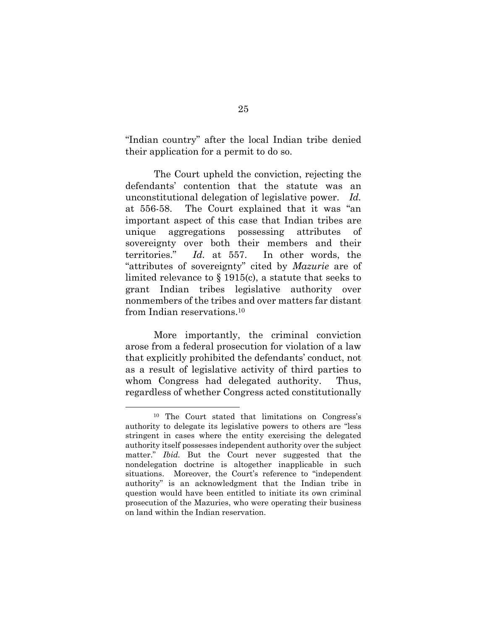"Indian country" after the local Indian tribe denied their application for a permit to do so.

The Court upheld the conviction, rejecting the defendants' contention that the statute was an unconstitutional delegation of legislative power. *Id.* at 556-58. The Court explained that it was "an important aspect of this case that Indian tribes are unique aggregations possessing attributes of sovereignty over both their members and their territories." *Id.* at 557. In other words, the "attributes of sovereignty" cited by *Mazurie* are of limited relevance to § 1915(c), a statute that seeks to grant Indian tribes legislative authority over nonmembers of the tribes and over matters far distant from Indian reservations.10

More importantly, the criminal conviction arose from a federal prosecution for violation of a law that explicitly prohibited the defendants' conduct, not as a result of legislative activity of third parties to whom Congress had delegated authority. Thus, regardless of whether Congress acted constitutionally

<sup>10</sup> The Court stated that limitations on Congress's authority to delegate its legislative powers to others are "less stringent in cases where the entity exercising the delegated authority itself possesses independent authority over the subject matter." *Ibid.* But the Court never suggested that the nondelegation doctrine is altogether inapplicable in such situations. Moreover, the Court's reference to "independent authority" is an acknowledgment that the Indian tribe in question would have been entitled to initiate its own criminal prosecution of the Mazuries, who were operating their business on land within the Indian reservation.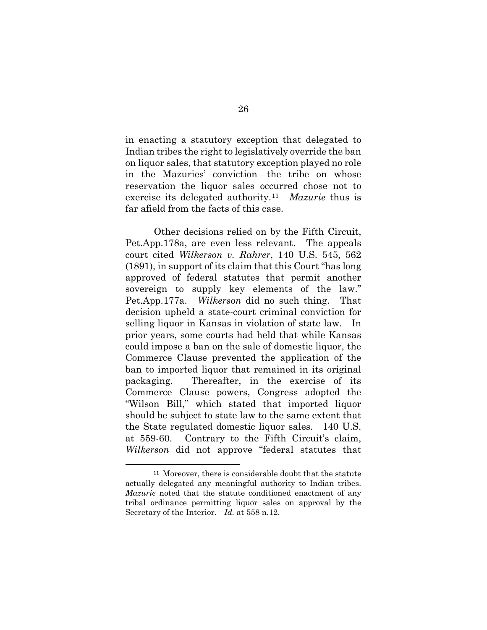in enacting a statutory exception that delegated to Indian tribes the right to legislatively override the ban on liquor sales, that statutory exception played no role in the Mazuries' conviction—the tribe on whose reservation the liquor sales occurred chose not to exercise its delegated authority.11 *Mazurie* thus is far afield from the facts of this case.

Other decisions relied on by the Fifth Circuit, Pet.App.178a, are even less relevant. The appeals court cited *Wilkerson v. Rahrer*, 140 U.S. 545, 562 (1891), in support of its claim that this Court "has long approved of federal statutes that permit another sovereign to supply key elements of the law." Pet.App.177a. *Wilkerson* did no such thing. That decision upheld a state-court criminal conviction for selling liquor in Kansas in violation of state law. In prior years, some courts had held that while Kansas could impose a ban on the sale of domestic liquor, the Commerce Clause prevented the application of the ban to imported liquor that remained in its original packaging. Thereafter, in the exercise of its Commerce Clause powers, Congress adopted the "Wilson Bill," which stated that imported liquor should be subject to state law to the same extent that the State regulated domestic liquor sales. 140 U.S. at 559-60. Contrary to the Fifth Circuit's claim, *Wilkerson* did not approve "federal statutes that

<sup>&</sup>lt;sup>11</sup> Moreover, there is considerable doubt that the statute actually delegated any meaningful authority to Indian tribes. *Mazurie* noted that the statute conditioned enactment of any tribal ordinance permitting liquor sales on approval by the Secretary of the Interior. *Id.* at 558 n.12.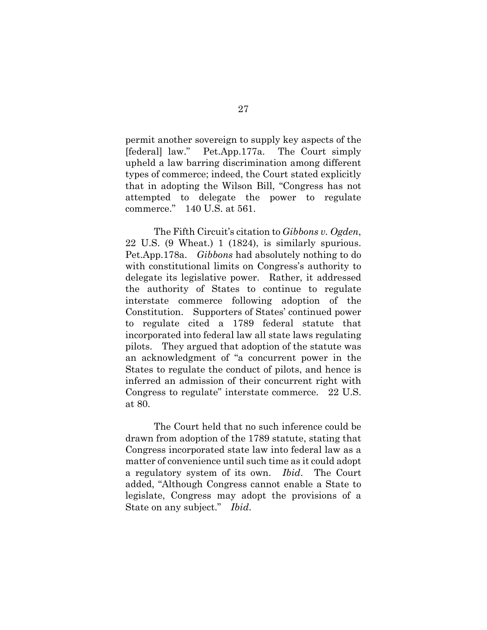permit another sovereign to supply key aspects of the [federal] law." Pet.App.177a. The Court simply upheld a law barring discrimination among different types of commerce; indeed, the Court stated explicitly that in adopting the Wilson Bill, "Congress has not attempted to delegate the power to regulate commerce." 140 U.S. at 561.

The Fifth Circuit's citation to *Gibbons v. Ogden*, 22 U.S. (9 Wheat.) 1 (1824), is similarly spurious. Pet.App.178a. *Gibbons* had absolutely nothing to do with constitutional limits on Congress's authority to delegate its legislative power. Rather, it addressed the authority of States to continue to regulate interstate commerce following adoption of the Constitution. Supporters of States' continued power to regulate cited a 1789 federal statute that incorporated into federal law all state laws regulating pilots. They argued that adoption of the statute was an acknowledgment of "a concurrent power in the States to regulate the conduct of pilots, and hence is inferred an admission of their concurrent right with Congress to regulate" interstate commerce. 22 U.S. at 80.

The Court held that no such inference could be drawn from adoption of the 1789 statute, stating that Congress incorporated state law into federal law as a matter of convenience until such time as it could adopt a regulatory system of its own. *Ibid*. The Court added, "Although Congress cannot enable a State to legislate, Congress may adopt the provisions of a State on any subject." *Ibid*.